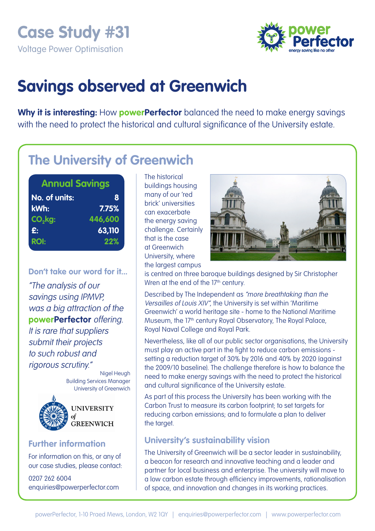**Case Study #31**  Voltage Power Optimisation



# **Savings observed at Greenwich**

**Why it is interesting:** How **powerPerfector** balanced the need to make energy savings with the need to protect the historical and cultural significance of the University estate.

## **The University of Greenwich**

| <b>Annual Savings</b> |         |
|-----------------------|---------|
| No. of units:         | 8       |
| kWh:                  | 7.75%   |
| $CO2$ kg:             | 446,600 |
| £:                    | 63,110  |
| <b>ROI:</b>           | 22%     |

**Don't take our word for it...**  "The analysis of our savings using IPMVP, was a big attraction of the **powerPerfector** offering. It is rare that suppliers submit their projects to such robust and rigorous scrutiny."

> Nigel Heugh Building Services Manager University of Greenwich



**UNIVERSITY** of **GREENWICH** 

### **Further information**

For information on this, or any of our case studies, please contact:

0207 262 6004 enquiries@powerperfector.com The historical buildings housing many of our 'red brick' universities can exacerbate the energy saving challenge. Certainly that is the case at Greenwich University, where the largest campus



is centred on three baroque buildings designed by Sir Christopher Wren at the end of the 17<sup>th</sup> century.

Described by The Independent as "more breathtaking than the Versailles of Louis XIV", the University is set within 'Maritime Greenwich' a world heritage site - home to the National Maritime Museum, the 17<sup>th</sup> century Royal Observatory, The Royal Palace, Royal Naval College and Royal Park.

Nevertheless, like all of our public sector organisations, the University must play an active part in the fight to reduce carbon emissions setting a reduction target of 30% by 2016 and 40% by 2020 (against the 2009/10 baseline). The challenge therefore is how to balance the need to make energy savings with the need to protect the historical and cultural significance of the University estate.

As part of this process the University has been working with the Carbon Trust to measure its carbon footprint; to set targets for reducing carbon emissions; and to formulate a plan to deliver the target.

### **University's sustainability vision**

The University of Greenwich will be a sector leader in sustainability, a beacon for research and innovative teaching and a leader and partner for local business and enterprise. The university will move to a low carbon estate through efficiency improvements, rationalisation of space, and innovation and changes in its working practices.